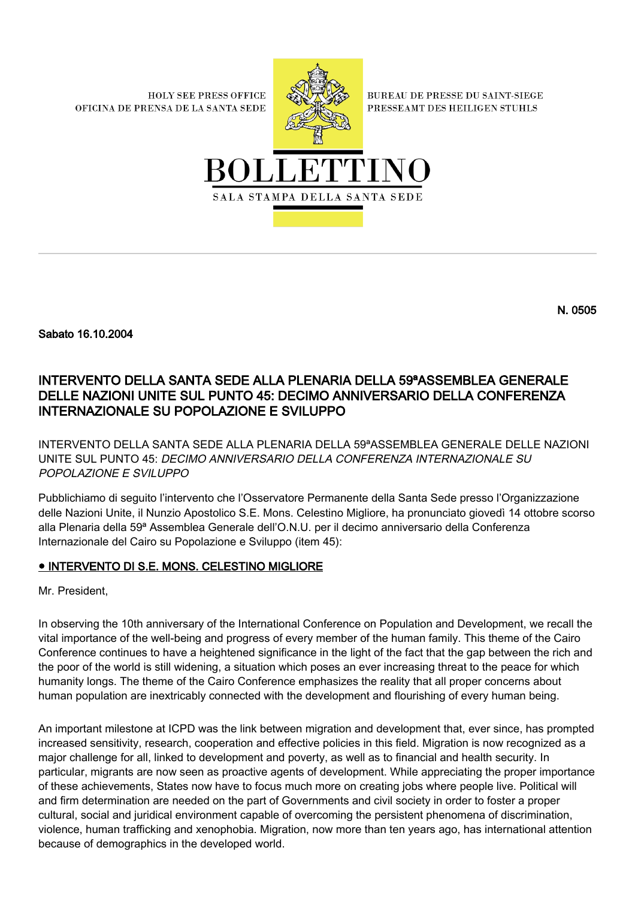**HOLY SEE PRESS OFFICE** OFICINA DE PRENSA DE LA SANTA SEDE



**BUREAU DE PRESSE DU SAINT-SIEGE** PRESSEAMT DES HEILIGEN STUHLS



Sabato 16.10.2004

## INTERVENTO DELLA SANTA SEDE ALLA PLENARIA DELLA 59ªASSEMBLEA GENERALE DELLE NAZIONI UNITE SUL PUNTO 45: DECIMO ANNIVERSARIO DELLA CONFERENZA INTERNAZIONALE SU POPOLAZIONE E SVILUPPO

INTERVENTO DELLA SANTA SEDE ALLA PLENARIA DELLA 59ªASSEMBLEA GENERALE DELLE NAZIONI UNITE SUL PUNTO 45: DECIMO ANNIVERSARIO DELLA CONFERENZA INTERNAZIONALE SU POPOLAZIONE E SVILUPPO

Pubblichiamo di seguito l'intervento che l'Osservatore Permanente della Santa Sede presso l'Organizzazione delle Nazioni Unite, il Nunzio Apostolico S.E. Mons. Celestino Migliore, ha pronunciato giovedì 14 ottobre scorso alla Plenaria della 59ª Assemblea Generale dell'O.N.U. per il decimo anniversario della Conferenza Internazionale del Cairo su Popolazione e Sviluppo (item 45):

## ● INTERVENTO DI S.E. MONS. CELESTINO MIGLIORE

Mr. President,

In observing the 10th anniversary of the International Conference on Population and Development, we recall the vital importance of the well-being and progress of every member of the human family. This theme of the Cairo Conference continues to have a heightened significance in the light of the fact that the gap between the rich and the poor of the world is still widening, a situation which poses an ever increasing threat to the peace for which humanity longs. The theme of the Cairo Conference emphasizes the reality that all proper concerns about human population are inextricably connected with the development and flourishing of every human being.

An important milestone at ICPD was the link between migration and development that, ever since, has prompted increased sensitivity, research, cooperation and effective policies in this field. Migration is now recognized as a major challenge for all, linked to development and poverty, as well as to financial and health security. In particular, migrants are now seen as proactive agents of development. While appreciating the proper importance of these achievements, States now have to focus much more on creating jobs where people live. Political will and firm determination are needed on the part of Governments and civil society in order to foster a proper cultural, social and juridical environment capable of overcoming the persistent phenomena of discrimination, violence, human trafficking and xenophobia. Migration, now more than ten years ago, has international attention because of demographics in the developed world.

N. 0505